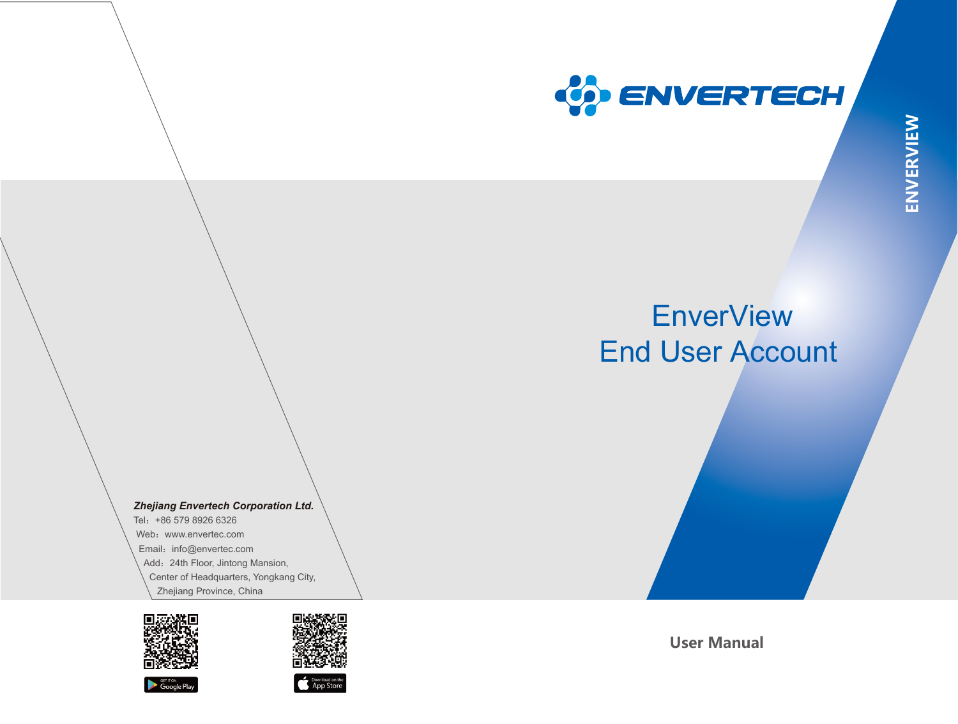

# **EnverView** End User Account

*Zhejiang Envertech Corporation Ltd.* 

Tel:+86 579 8926 6326 Web: www.envertec.com Email: info@envertec.com Add: 24th Floor, Jintong Mansion, Center of Headquarters, Yongkang City, Zhejiang Province, China









**User Manual**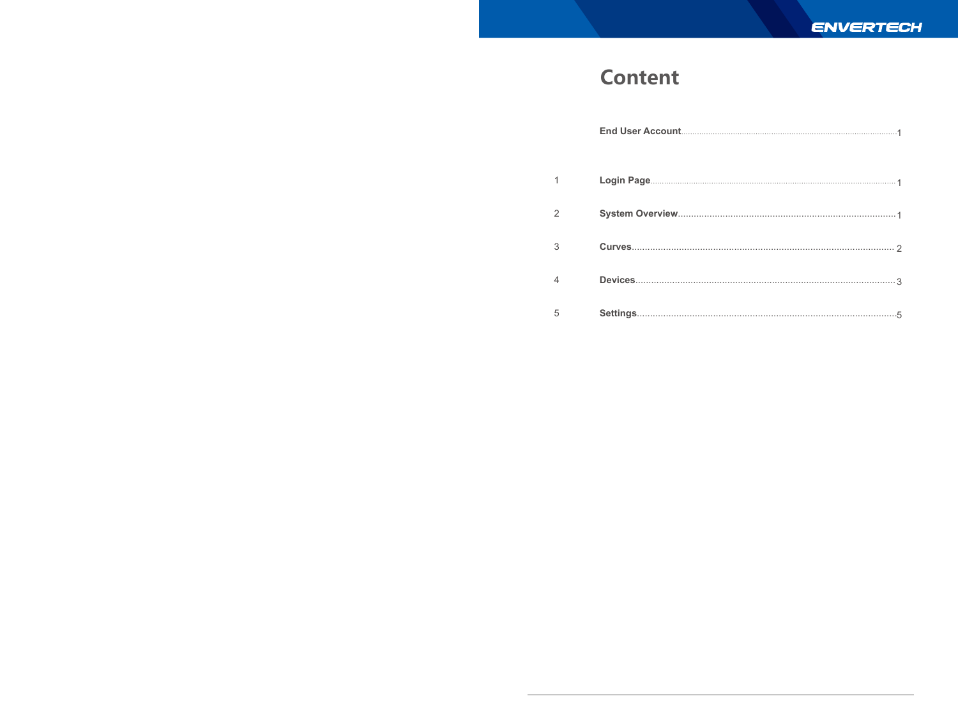## **Content**

| 3 |  |
|---|--|
|   |  |
| 5 |  |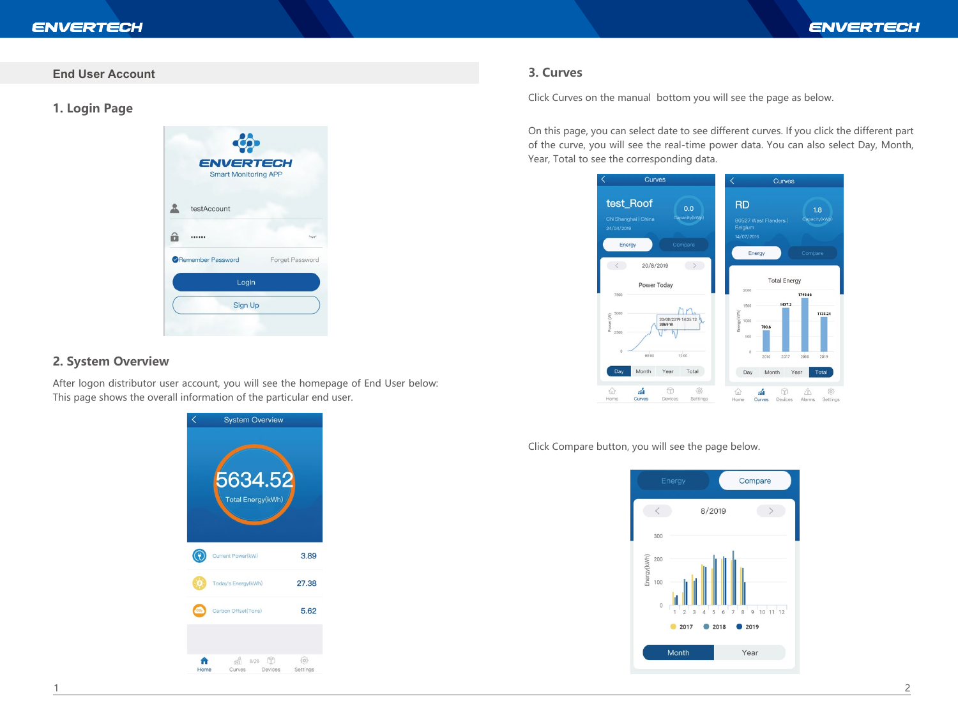#### **End User Account**

**1. Login Page**



#### **2. System Overview**

After logon distributor user account, you will see the homepage of End User below: This page shows the overall information of the particular end user.

> **System Overview** 634 Total Energy(kWr  $\odot$ Current Power(kW) 3.89 Today's Energy(kWh) 27.38  $co<sub>1</sub>$ Carbon Offset(Tons) 5.62 1 8/28 ①  $\frac{1}{2}$ A Devices Curves Settings Home

#### **3. Curves**

Click Curves on the manual bottom you will see the page as below.

On this page, you can select date to see different curves. If you click the different part of the curve, you will see the real-time power data. You can also select Day, Month, Year, Total to see the corresponding data.



Click Compare button, you will see the page below.

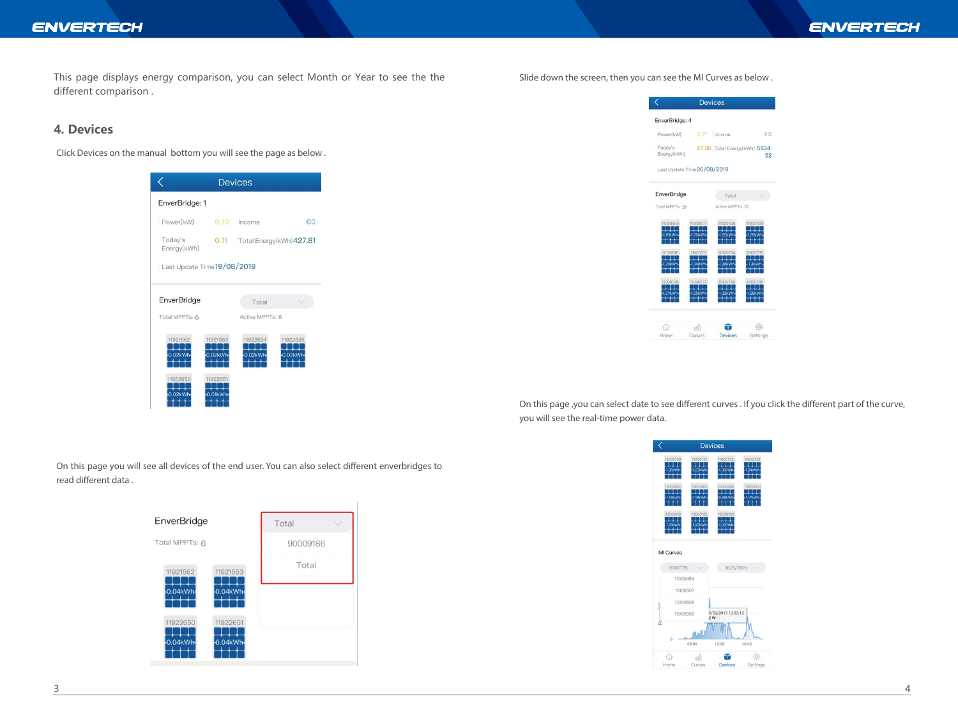#### **ENVERTECH**

This page displays energy comparison, you can select Month or Year to see the the different comparison .

#### **4. Devices**

Click Devices on the manual bottom you will see the page as below .

|                             |                        | <b>Devices</b>                |                        |
|-----------------------------|------------------------|-------------------------------|------------------------|
| EnverBridge: 1              |                        |                               |                        |
| Power(kW)                   |                        | $0.10$ Income                 | €0                     |
| Today's<br>Energy(kWh)      |                        | 0.11 Total Energy(kWh) 427.81 |                        |
| Last Update Time 19/08/2019 |                        |                               |                        |
|                             |                        |                               |                        |
| EnverBridge                 |                        | Total                         |                        |
| Total MPPTs: 6              |                        | Active MPPTs: 6               |                        |
| 11921562<br>$-0.02$ kWh-    | 11921563<br>0.02kWh    | 11922634<br>$0.02$ kWh        | 11922635<br>$0.02$ kWh |
| 11922650<br>$0.02$ kWh      | 1192265<br>$-0.01$ kWh |                               |                        |

Slide down the screen, then you can see the MI Curves as below .

|                             |                     | <b>Devices</b>                |                     |
|-----------------------------|---------------------|-------------------------------|---------------------|
| EnverBridge: 4              |                     |                               |                     |
| Power(kW)                   |                     | 3.71 Income                   | ¥0                  |
| Today's<br>Energy(kWh)      |                     | 27.38 Total Energy(kWh) 5634. | 52                  |
| Last Update Time 20/08/2019 |                     |                               |                     |
| <b>EnverBridge</b>          |                     | Total                         |                     |
| Total MPPTs: 31             |                     | Active MPPTs: 22              |                     |
| 11000454<br>1.19kWh         | 11000507<br>1.26kWh | 11000508<br>.22kWh            | 11000509<br>1.29kWh |
| 11000510                    | 11000511<br>34kW    | 11000734                      | 11000735            |
| 11000736                    | 11000737            | 11000738                      | 11000739            |
|                             | r#fi                |                               |                     |
| Home                        | Curves              | <b>Devices</b>                | Settings            |

On this page ,you can select date to see different curves . If you click the different part of the curve, you will see the real-time power data.

|             |                          |                           | <b>Devices</b>           |                     |
|-------------|--------------------------|---------------------------|--------------------------|---------------------|
|             | 11000730<br>35kWh        | 11000731<br>23kWh         | 11000732<br>36kWh        | 11000733<br>1.24kWh |
|             | 13000000<br><b>IRVWH</b> | 13000001<br><b>196/WF</b> | 13000002<br>n gawa       | 13000003            |
|             | 13000119<br>OIkWH        | 13000125<br>02kWh         | 13000129<br>nowwa        |                     |
|             |                          |                           |                          |                     |
|             | MI Curves                |                           |                          |                     |
|             | 11000735                 |                           | 10/8/2019                |                     |
|             | 11000454                 |                           |                          |                     |
|             | 11000507                 |                           |                          |                     |
|             | 11000508                 |                           |                          |                     |
| ĵ<br>í<br>à | 11000509                 |                           | 0/52/2019 12:52:12<br>2W |                     |
|             | Ō                        | 08:00                     | 12:00                    | 16:00               |
|             | Home                     | áÑ<br>Curves              | <b>Devices</b>           | Settings            |

On this page you will see all devices of the end user. You can also select different enverbridges to read different data.

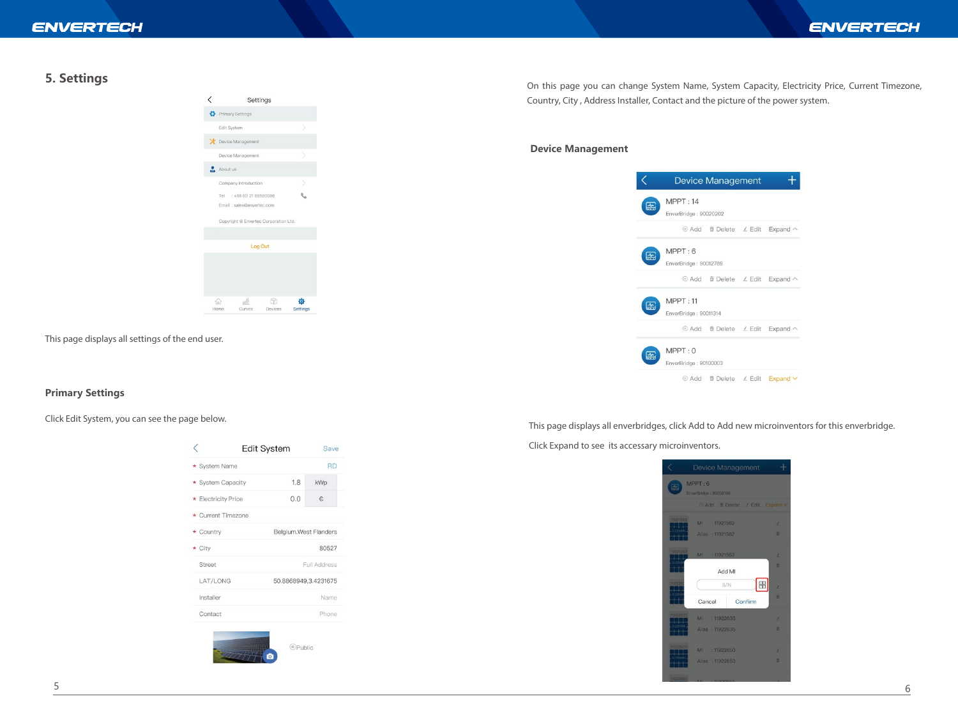#### **5. Settings**



This page displays all settings of the end user.

#### **Primary Settings**

Click Edit System, you can see the page below.

|              |                     | <b>Edit System</b>    | Save         |  |
|--------------|---------------------|-----------------------|--------------|--|
|              | * System Name       |                       | <b>RD</b>    |  |
|              | * System Capacity   | 1.8                   | kWp          |  |
|              | * Electricity Price | 0.0                   | €            |  |
|              | * Current Timezone  |                       |              |  |
|              | * Country           | Belgium.West Flanders |              |  |
| $\star$ City |                     |                       | 80527        |  |
|              | Street              |                       | Full Address |  |
|              | LAT/LONG            | 50.8868949,3.4231675  |              |  |
| Installer    |                     |                       | Name         |  |
|              | Contact             |                       | Phone        |  |

On this page you can change System Name, System Capacity, Electricity Price, Current Timezone, Country, City , Address Installer, Contact and the picture of the power system.

#### **Device Management**

|   |                                   | <b>Device Management</b>      |                                                    |
|---|-----------------------------------|-------------------------------|----------------------------------------------------|
| 盃 | MPPT: 14<br>EnverBridge: 90020202 |                               |                                                    |
|   |                                   |                               | ⊕ Add <i>i</i> i Delete <i>L</i> Edit Expand ^     |
| 匞 | MPPT:6<br>EnverBridge: 90012769   |                               |                                                    |
|   |                                   |                               | ⊕ Add <sup>m</sup> Delete <i>L</i> Edit  Expand  へ |
| 쏲 | MPPT:11<br>EnverBridge: 90011314  |                               |                                                    |
|   |                                   |                               | ⊕ Add <i>i</i> Delete <i>L</i> Edit Expand ^       |
| 盀 | MPPT:0<br>EnverBridge: 90100003   |                               |                                                    |
|   | ⊕ Add                             | <b><i>i</i></b> Delete ∠ Edit | $Expand \vee$                                      |

This page displays all enverbridges, click Add to Add new microinventors for this enverbridge.

Click Expand to see its accessary microinventors.